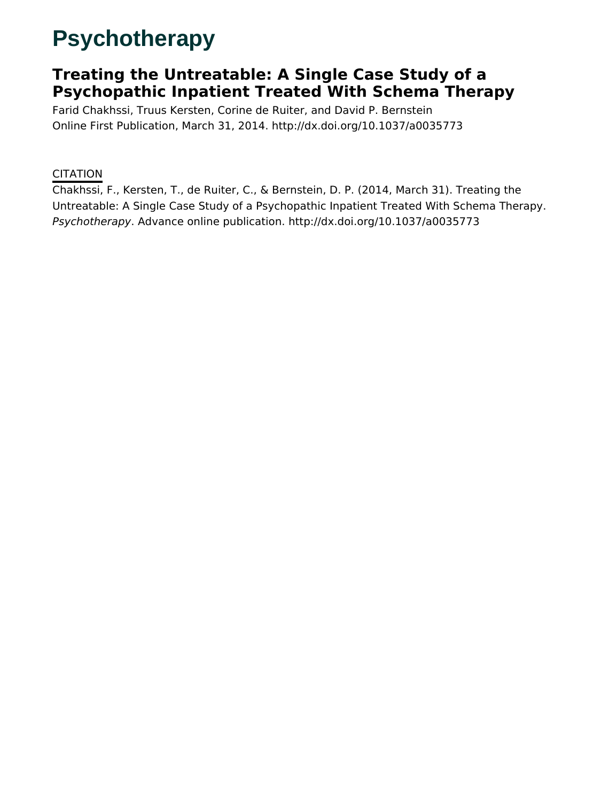# **Psychotherapy**

# **Treating the Untreatable: A Single Case Study of a Psychopathic Inpatient Treated With Schema Therapy**

Farid Chakhssi, Truus Kersten, Corine de Ruiter, and David P. Bernstein Online First Publication, March 31, 2014. http://dx.doi.org/10.1037/a0035773

## **CITATION**

Chakhssi, F., Kersten, T., de Ruiter, C., & Bernstein, D. P. (2014, March 31). Treating the Untreatable: A Single Case Study of a Psychopathic Inpatient Treated With Schema Therapy. Psychotherapy. Advance online publication. http://dx.doi.org/10.1037/a0035773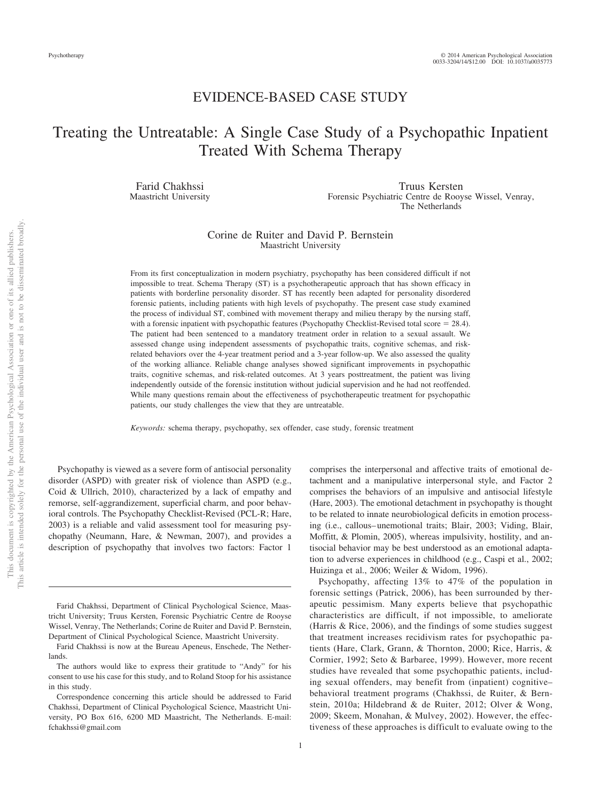### EVIDENCE-BASED CASE STUDY

# Treating the Untreatable: A Single Case Study of a Psychopathic Inpatient Treated With Schema Therapy

Farid Chakhssi Maastricht University

Truus Kersten Forensic Psychiatric Centre de Rooyse Wissel, Venray, The Netherlands

#### Corine de Ruiter and David P. Bernstein Maastricht University

From its first conceptualization in modern psychiatry, psychopathy has been considered difficult if not impossible to treat. Schema Therapy (ST) is a psychotherapeutic approach that has shown efficacy in patients with borderline personality disorder. ST has recently been adapted for personality disordered forensic patients, including patients with high levels of psychopathy. The present case study examined the process of individual ST, combined with movement therapy and milieu therapy by the nursing staff, with a forensic inpatient with psychopathic features (Psychopathy Checklist-Revised total score = 28.4). The patient had been sentenced to a mandatory treatment order in relation to a sexual assault. We assessed change using independent assessments of psychopathic traits, cognitive schemas, and riskrelated behaviors over the 4-year treatment period and a 3-year follow-up. We also assessed the quality of the working alliance. Reliable change analyses showed significant improvements in psychopathic traits, cognitive schemas, and risk-related outcomes. At 3 years posttreatment, the patient was living independently outside of the forensic institution without judicial supervision and he had not reoffended. While many questions remain about the effectiveness of psychotherapeutic treatment for psychopathic patients, our study challenges the view that they are untreatable.

*Keywords:* schema therapy, psychopathy, sex offender, case study, forensic treatment

Psychopathy is viewed as a severe form of antisocial personality disorder (ASPD) with greater risk of violence than ASPD (e.g., Coid & Ullrich, 2010), characterized by a lack of empathy and remorse, self-aggrandizement, superficial charm, and poor behavioral controls. The Psychopathy Checklist-Revised (PCL-R; Hare, 2003) is a reliable and valid assessment tool for measuring psychopathy (Neumann, Hare, & Newman, 2007), and provides a description of psychopathy that involves two factors: Factor 1

Farid Chakhssi, Department of Clinical Psychological Science, Maastricht University; Truus Kersten, Forensic Psychiatric Centre de Rooyse Wissel, Venray, The Netherlands; Corine de Ruiter and David P. Bernstein, Department of Clinical Psychological Science, Maastricht University.

Farid Chakhssi is now at the Bureau Apeneus, Enschede, The Netherlands.

The authors would like to express their gratitude to "Andy" for his consent to use his case for this study, and to Roland Stoop for his assistance in this study.

tachment and a manipulative interpersonal style, and Factor 2 comprises the behaviors of an impulsive and antisocial lifestyle (Hare, 2003). The emotional detachment in psychopathy is thought to be related to innate neurobiological deficits in emotion processing (i.e., callous– unemotional traits; Blair, 2003; Viding, Blair, Moffitt, & Plomin, 2005), whereas impulsivity, hostility, and antisocial behavior may be best understood as an emotional adaptation to adverse experiences in childhood (e.g., Caspi et al., 2002; Huizinga et al., 2006; Weiler & Widom, 1996). Psychopathy, affecting 13% to 47% of the population in

comprises the interpersonal and affective traits of emotional de-

forensic settings (Patrick, 2006), has been surrounded by therapeutic pessimism. Many experts believe that psychopathic characteristics are difficult, if not impossible, to ameliorate (Harris & Rice, 2006), and the findings of some studies suggest that treatment increases recidivism rates for psychopathic patients (Hare, Clark, Grann, & Thornton, 2000; Rice, Harris, & Cormier, 1992; Seto & Barbaree, 1999). However, more recent studies have revealed that some psychopathic patients, including sexual offenders, may benefit from (inpatient) cognitive– behavioral treatment programs (Chakhssi, de Ruiter, & Bernstein, 2010a; Hildebrand & de Ruiter, 2012; Olver & Wong, 2009; Skeem, Monahan, & Mulvey, 2002). However, the effectiveness of these approaches is difficult to evaluate owing to the

Correspondence concerning this article should be addressed to Farid Chakhssi, Department of Clinical Psychological Science, Maastricht University, PO Box 616, 6200 MD Maastricht, The Netherlands. E-mail: fchakhssi@gmail.com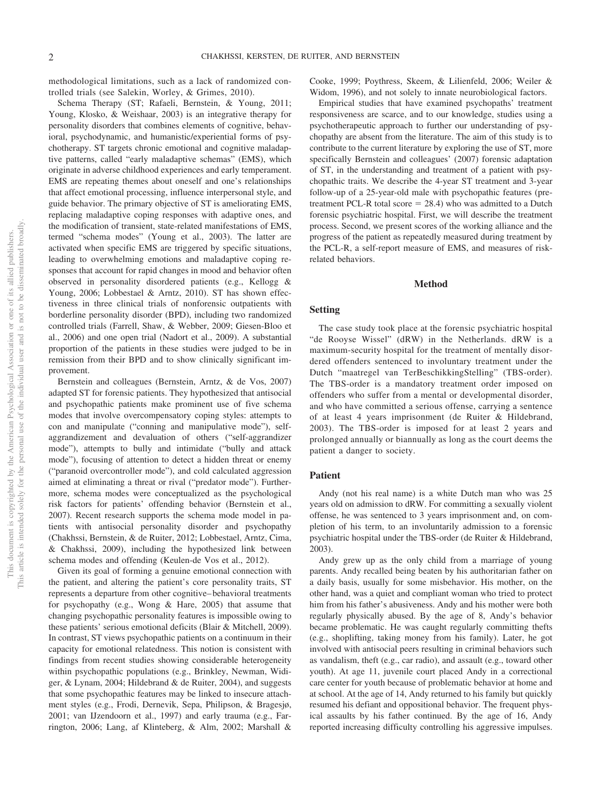methodological limitations, such as a lack of randomized controlled trials (see Salekin, Worley, & Grimes, 2010).

Schema Therapy (ST; Rafaeli, Bernstein, & Young, 2011; Young, Klosko, & Weishaar, 2003) is an integrative therapy for personality disorders that combines elements of cognitive, behavioral, psychodynamic, and humanistic/experiential forms of psychotherapy. ST targets chronic emotional and cognitive maladaptive patterns, called "early maladaptive schemas" (EMS), which originate in adverse childhood experiences and early temperament. EMS are repeating themes about oneself and one's relationships that affect emotional processing, influence interpersonal style, and guide behavior. The primary objective of ST is ameliorating EMS, replacing maladaptive coping responses with adaptive ones, and the modification of transient, state-related manifestations of EMS, termed "schema modes" (Young et al., 2003). The latter are activated when specific EMS are triggered by specific situations, leading to overwhelming emotions and maladaptive coping responses that account for rapid changes in mood and behavior often observed in personality disordered patients (e.g., Kellogg & Young, 2006; Lobbestael & Arntz, 2010). ST has shown effectiveness in three clinical trials of nonforensic outpatients with borderline personality disorder (BPD), including two randomized controlled trials (Farrell, Shaw, & Webber, 2009; Giesen-Bloo et al., 2006) and one open trial (Nadort et al., 2009). A substantial proportion of the patients in these studies were judged to be in remission from their BPD and to show clinically significant improvement.

Bernstein and colleagues (Bernstein, Arntz, & de Vos, 2007) adapted ST for forensic patients. They hypothesized that antisocial and psychopathic patients make prominent use of five schema modes that involve overcompensatory coping styles: attempts to con and manipulate ("conning and manipulative mode"), selfaggrandizement and devaluation of others ("self-aggrandizer mode"), attempts to bully and intimidate ("bully and attack mode"), focusing of attention to detect a hidden threat or enemy ("paranoid overcontroller mode"), and cold calculated aggression aimed at eliminating a threat or rival ("predator mode"). Furthermore, schema modes were conceptualized as the psychological risk factors for patients' offending behavior (Bernstein et al., 2007). Recent research supports the schema mode model in patients with antisocial personality disorder and psychopathy (Chakhssi, Bernstein, & de Ruiter, 2012; Lobbestael, Arntz, Cima, & Chakhssi, 2009), including the hypothesized link between schema modes and offending (Keulen-de Vos et al., 2012).

Given its goal of forming a genuine emotional connection with the patient, and altering the patient's core personality traits, ST represents a departure from other cognitive– behavioral treatments for psychopathy (e.g., Wong & Hare, 2005) that assume that changing psychopathic personality features is impossible owing to these patients' serious emotional deficits (Blair & Mitchell, 2009). In contrast, ST views psychopathic patients on a continuum in their capacity for emotional relatedness. This notion is consistent with findings from recent studies showing considerable heterogeneity within psychopathic populations (e.g., Brinkley, Newman, Widiger, & Lynam, 2004; Hildebrand & de Ruiter, 2004), and suggests that some psychopathic features may be linked to insecure attachment styles (e.g., Frodi, Dernevik, Sepa, Philipson, & Bragesjø, 2001; van IJzendoorn et al., 1997) and early trauma (e.g., Farrington, 2006; Lang, af Klinteberg, & Alm, 2002; Marshall & Cooke, 1999; Poythress, Skeem, & Lilienfeld, 2006; Weiler & Widom, 1996), and not solely to innate neurobiological factors.

Empirical studies that have examined psychopaths' treatment responsiveness are scarce, and to our knowledge, studies using a psychotherapeutic approach to further our understanding of psychopathy are absent from the literature. The aim of this study is to contribute to the current literature by exploring the use of ST, more specifically Bernstein and colleagues' (2007) forensic adaptation of ST, in the understanding and treatment of a patient with psychopathic traits. We describe the 4-year ST treatment and 3-year follow-up of a 25-year-old male with psychopathic features (pretreatment PCL-R total score  $= 28.4$ ) who was admitted to a Dutch forensic psychiatric hospital. First, we will describe the treatment process. Second, we present scores of the working alliance and the progress of the patient as repeatedly measured during treatment by the PCL-R, a self-report measure of EMS, and measures of riskrelated behaviors.

#### **Method**

#### **Setting**

The case study took place at the forensic psychiatric hospital "de Rooyse Wissel" (dRW) in the Netherlands. dRW is a maximum-security hospital for the treatment of mentally disordered offenders sentenced to involuntary treatment under the Dutch "maatregel van TerBeschikkingStelling" (TBS-order). The TBS-order is a mandatory treatment order imposed on offenders who suffer from a mental or developmental disorder, and who have committed a serious offense, carrying a sentence of at least 4 years imprisonment (de Ruiter & Hildebrand, 2003). The TBS-order is imposed for at least 2 years and prolonged annually or biannually as long as the court deems the patient a danger to society.

#### **Patient**

Andy (not his real name) is a white Dutch man who was 25 years old on admission to dRW. For committing a sexually violent offense, he was sentenced to 3 years imprisonment and, on completion of his term, to an involuntarily admission to a forensic psychiatric hospital under the TBS-order (de Ruiter & Hildebrand, 2003).

Andy grew up as the only child from a marriage of young parents. Andy recalled being beaten by his authoritarian father on a daily basis, usually for some misbehavior. His mother, on the other hand, was a quiet and compliant woman who tried to protect him from his father's abusiveness. Andy and his mother were both regularly physically abused. By the age of 8, Andy's behavior became problematic. He was caught regularly committing thefts (e.g., shoplifting, taking money from his family). Later, he got involved with antisocial peers resulting in criminal behaviors such as vandalism, theft (e.g., car radio), and assault (e.g., toward other youth). At age 11, juvenile court placed Andy in a correctional care center for youth because of problematic behavior at home and at school. At the age of 14, Andy returned to his family but quickly resumed his defiant and oppositional behavior. The frequent physical assaults by his father continued. By the age of 16, Andy reported increasing difficulty controlling his aggressive impulses.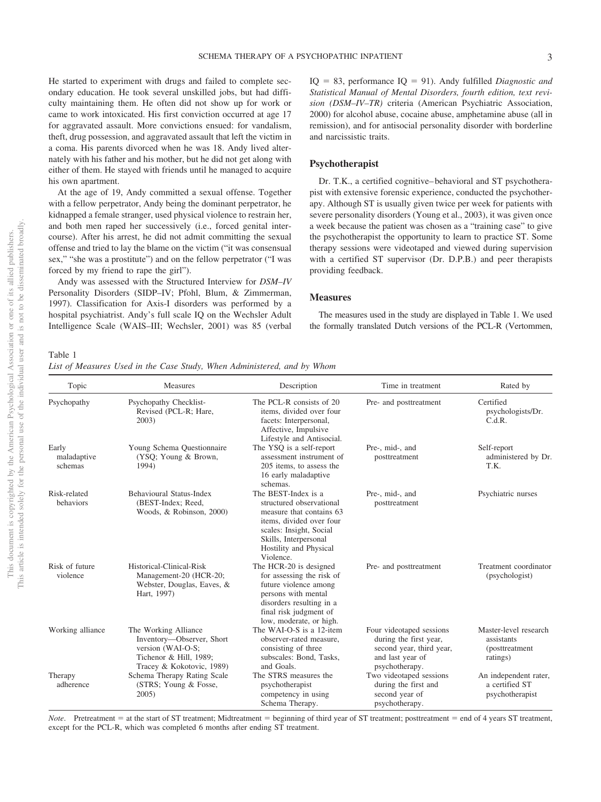He started to experiment with drugs and failed to complete secondary education. He took several unskilled jobs, but had difficulty maintaining them. He often did not show up for work or came to work intoxicated. His first conviction occurred at age 17 for aggravated assault. More convictions ensued: for vandalism, theft, drug possession, and aggravated assault that left the victim in a coma. His parents divorced when he was 18. Andy lived alternately with his father and his mother, but he did not get along with either of them. He stayed with friends until he managed to acquire his own apartment.

At the age of 19, Andy committed a sexual offense. Together with a fellow perpetrator, Andy being the dominant perpetrator, he kidnapped a female stranger, used physical violence to restrain her, and both men raped her successively (i.e., forced genital intercourse). After his arrest, he did not admit committing the sexual offense and tried to lay the blame on the victim ("it was consensual sex," "she was a prostitute") and on the fellow perpetrator ("I was forced by my friend to rape the girl").

Andy was assessed with the Structured Interview for *DSM–IV* Personality Disorders (SIDP–IV; Pfohl, Blum, & Zimmerman, 1997). Classification for Axis-I disorders was performed by a hospital psychiatrist. Andy's full scale IQ on the Wechsler Adult Intelligence Scale (WAIS–III; Wechsler, 2001) was 85 (verbal

Psychopathy Psychopathy Checklist-

2003)

1994)

 $IQ = 83$ , performance  $IQ = 91$ ). Andy fulfilled *Diagnostic and Statistical Manual of Mental Disorders, fourth edition, text revision (DSM–IV–TR)* criteria (American Psychiatric Association, 2000) for alcohol abuse, cocaine abuse, amphetamine abuse (all in remission), and for antisocial personality disorder with borderline and narcissistic traits.

#### **Psychotherapist**

Dr. T.K., a certified cognitive– behavioral and ST psychotherapist with extensive forensic experience, conducted the psychotherapy. Although ST is usually given twice per week for patients with severe personality disorders (Young et al., 2003), it was given once a week because the patient was chosen as a "training case" to give the psychotherapist the opportunity to learn to practice ST. Some therapy sessions were videotaped and viewed during supervision with a certified ST supervisor (Dr. D.P.B.) and peer therapists providing feedback.

#### **Measures**

Topic **The Measures** Measures **Description** Time in treatment Rated by

The PCL-R consists of 20 items, divided over four facets: Interpersonal. Affective, Impulsive Lifestyle and Antisocial.

The YSQ is a self-report assessment instrument of 205 items, to assess the 16 early maladaptive

schemas.

Violence.

The HCR-20 is designed for assessing the risk of future violence among persons with mental disorders resulting in a final risk judgment of low, moderate, or high.

The BEST-Index is a structured observational measure that contains 63 items, divided over four scales: Insight, Social Skills, Interpersonal Hostility and Physical

The measures used in the study are displayed in Table 1. We used the formally translated Dutch versions of the PCL-R (Vertommen,

Pre- and posttreatment Certified

Pre- and posttreatment Treatment coordinator

Pre-, mid-, and posttreatment

Pre-, mid-, and posttreatment

Four videotaped sessions during the first year, second year, third year, and last year of

psychologists/Dr. C.d.R.

administered by Dr.

Self-report

T<sub>K</sub>

Psychiatric nurses

(psychologist)

Master-level research assistants (posttreatment ratings)

Table 1 *List of Measures Used in the Case Study, When Administered, and by Whom*

Revised (PCL-R; Hare,

Young Schema Questionnaire (YSQ; Young & Brown,

Behavioural Status-Index (BEST-Index; Reed, Woods, & Robinson, 2000)

Historical-Clinical-Risk Management-20 (HCR-20; Webster, Douglas, Eaves, &

Inventory—Observer, Short version (WAI-O-S; Tichenor & Hill, 1989;

Hart, 1997)

Working alliance The Working Alliance

|           | Tracey & Kokotovic, 1989)                                                                                                                              | and Goals.            | psychotherapy.          |                       |
|-----------|--------------------------------------------------------------------------------------------------------------------------------------------------------|-----------------------|-------------------------|-----------------------|
| Therapy   | Schema Therapy Rating Scale                                                                                                                            | The STRS measures the | Two videotaped sessions | An independent rater, |
| adherence | (STRS; Young & Fosse,                                                                                                                                  | psychotherapist       | during the first and    | a certified ST        |
|           | $2005$ )                                                                                                                                               | competency in using   | second year of          | psychotherapist       |
|           |                                                                                                                                                        | Schema Therapy.       | psychotherapy.          |                       |
| Note.     | Pretreatment $=$ at the start of ST treatment; Midtreatment $=$ beginning of third year of ST treatment; posttreatment $=$ end of 4 years ST treatment |                       |                         |                       |

The WAI-O-S is a 12-item observer-rated measure, consisting of three subscales: Bond, Tasks,

*Note*. Pretreatment = at the start of ST treatment; Midtreatment = beginning of third year of ST treatment; posttreatment = end of 4 years ST treatment, except for the PCL-R, which was completed 6 months after ending ST treatment.

Early

maladaptive schemas

Risk-related behaviors

Risk of future violence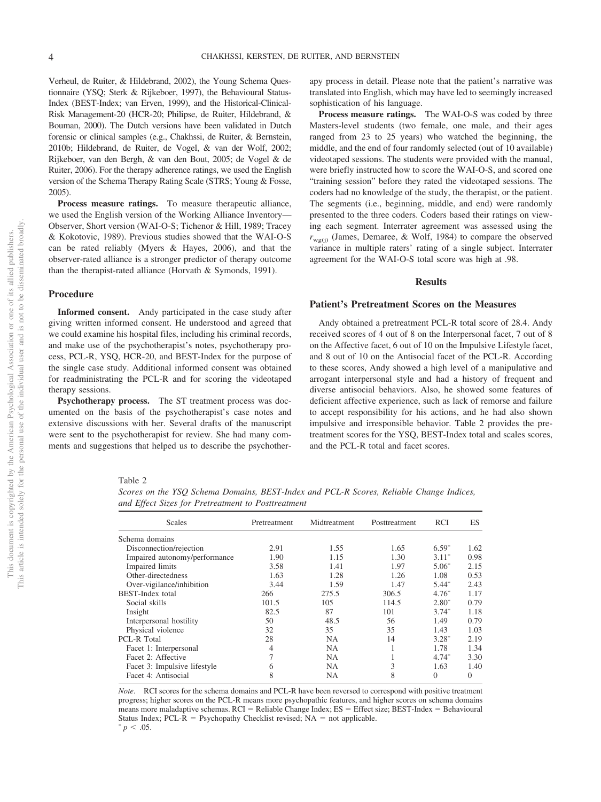Verheul, de Ruiter, & Hildebrand, 2002), the Young Schema Questionnaire (YSQ; Sterk & Rijkeboer, 1997), the Behavioural Status-Index (BEST-Index; van Erven, 1999), and the Historical-Clinical-Risk Management-20 (HCR-20; Philipse, de Ruiter, Hildebrand, & Bouman, 2000). The Dutch versions have been validated in Dutch forensic or clinical samples (e.g., Chakhssi, de Ruiter, & Bernstein, 2010b; Hildebrand, de Ruiter, de Vogel, & van der Wolf, 2002; Rijkeboer, van den Bergh, & van den Bout, 2005; de Vogel & de Ruiter, 2006). For the therapy adherence ratings, we used the English version of the Schema Therapy Rating Scale (STRS; Young & Fosse, 2005).

**Process measure ratings.** To measure therapeutic alliance, we used the English version of the Working Alliance Inventory— Observer, Short version (WAI-O-S; Tichenor & Hill, 1989; Tracey & Kokotovic, 1989). Previous studies showed that the WAI-O-S can be rated reliably (Myers & Hayes, 2006), and that the observer-rated alliance is a stronger predictor of therapy outcome than the therapist-rated alliance (Horvath & Symonds, 1991).

#### **Procedure**

**Informed consent.** Andy participated in the case study after giving written informed consent. He understood and agreed that we could examine his hospital files, including his criminal records, and make use of the psychotherapist's notes, psychotherapy process, PCL-R, YSQ, HCR-20, and BEST-Index for the purpose of the single case study. Additional informed consent was obtained for readministrating the PCL-R and for scoring the videotaped therapy sessions.

**Psychotherapy process.** The ST treatment process was documented on the basis of the psychotherapist's case notes and extensive discussions with her. Several drafts of the manuscript were sent to the psychotherapist for review. She had many comments and suggestions that helped us to describe the psychother-

apy process in detail. Please note that the patient's narrative was translated into English, which may have led to seemingly increased sophistication of his language.

**Process measure ratings.** The WAI-O-S was coded by three Masters-level students (two female, one male, and their ages ranged from 23 to 25 years) who watched the beginning, the middle, and the end of four randomly selected (out of 10 available) videotaped sessions. The students were provided with the manual, were briefly instructed how to score the WAI-O-S, and scored one "training session" before they rated the videotaped sessions. The coders had no knowledge of the study, the therapist, or the patient. The segments (i.e., beginning, middle, and end) were randomly presented to the three coders. Coders based their ratings on viewing each segment. Interrater agreement was assessed using the  $r_{\text{wg}(j)}$  (James, Demaree, & Wolf, 1984) to compare the observed variance in multiple raters' rating of a single subject. Interrater agreement for the WAI-O-S total score was high at .98.

#### **Results**

#### **Patient's Pretreatment Scores on the Measures**

Andy obtained a pretreatment PCL-R total score of 28.4. Andy received scores of 4 out of 8 on the Interpersonal facet, 7 out of 8 on the Affective facet, 6 out of 10 on the Impulsive Lifestyle facet, and 8 out of 10 on the Antisocial facet of the PCL-R. According to these scores, Andy showed a high level of a manipulative and arrogant interpersonal style and had a history of frequent and diverse antisocial behaviors. Also, he showed some features of deficient affective experience, such as lack of remorse and failure to accept responsibility for his actions, and he had also shown impulsive and irresponsible behavior. Table 2 provides the pretreatment scores for the YSQ, BEST-Index total and scales scores, and the PCL-R total and facet scores.

|--|--|

*Scores on the YSQ Schema Domains, BEST-Index and PCL-R Scores, Reliable Change Indices, and Effect Sizes for Pretreatment to Posttreatment*

| Scales                        | Pretreatment | Midtreatment | Posttreatment | <b>RCI</b> | ES.      |
|-------------------------------|--------------|--------------|---------------|------------|----------|
| Schema domains                |              |              |               |            |          |
| Disconnection/rejection       | 2.91         | 1.55         | 1.65          | $6.59*$    | 1.62     |
| Impaired autonomy/performance | 1.90         | 1.15         | 1.30          | $3.11*$    | 0.98     |
| Impaired limits               | 3.58         | 1.41         | 1.97          | $5.06*$    | 2.15     |
| Other-directedness            | 1.63         | 1.28         | 1.26          | 1.08       | 0.53     |
| Over-vigilance/inhibition     | 3.44         | 1.59         | 1.47          | $5.44*$    | 2.43     |
| BEST-Index total              | 266          | 275.5        | 306.5         | $4.76*$    | 1.17     |
| Social skills                 | 101.5        | 105          | 114.5         | $2.80^*$   | 0.79     |
| Insight                       | 82.5         | 87           | 101           | $3.74*$    | 1.18     |
| Interpersonal hostility       | 50           | 48.5         | 56            | 1.49       | 0.79     |
| Physical violence             | 32           | 35           | 35            | 1.43       | 1.03     |
| PCL-R Total                   | 28           | NA           | 14            | $3.28*$    | 2.19     |
| Facet 1: Interpersonal        | 4            | NA           |               | 1.78       | 1.34     |
| Facet 2: Affective            |              | NA           |               | $4.74*$    | 3.30     |
| Facet 3: Impulsive lifestyle  | 6            | NA           | 3             | 1.63       | 1.40     |
| Facet 4: Antisocial           | 8            | NA           | 8             | $\theta$   | $\theta$ |

*Note*. RCI scores for the schema domains and PCL-R have been reversed to correspond with positive treatment progress; higher scores on the PCL-R means more psychopathic features, and higher scores on schema domains means more maladaptive schemas.  $RCI = Reliable Change Index; ES = Effect size; BEST-Index = Behavioural$ Status Index; PCL-R = Psychopathy Checklist revised;  $NA$  = not applicable.  $p < .05$ .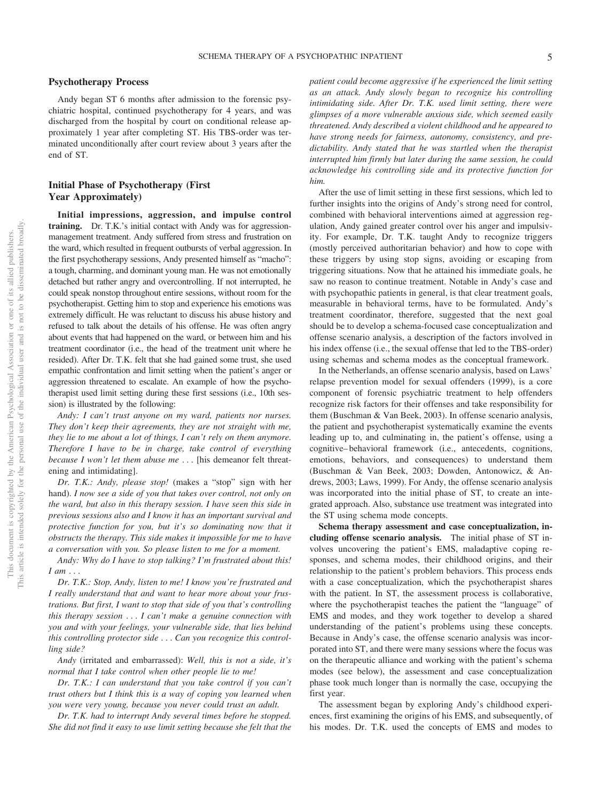#### SCHEMA THERAPY OF A PSYCHOPATHIC INPATIENT  $5$

#### **Psychotherapy Process**

Andy began ST 6 months after admission to the forensic psychiatric hospital, continued psychotherapy for 4 years, and was discharged from the hospital by court on conditional release approximately 1 year after completing ST. His TBS-order was terminated unconditionally after court review about 3 years after the end of ST.

#### **Initial Phase of Psychotherapy (First Year Approximately)**

**Initial impressions, aggression, and impulse control training.** Dr. T.K.'s initial contact with Andy was for aggressionmanagement treatment. Andy suffered from stress and frustration on the ward, which resulted in frequent outbursts of verbal aggression. In the first psychotherapy sessions, Andy presented himself as "macho": a tough, charming, and dominant young man. He was not emotionally detached but rather angry and overcontrolling. If not interrupted, he could speak nonstop throughout entire sessions, without room for the psychotherapist. Getting him to stop and experience his emotions was extremely difficult. He was reluctant to discuss his abuse history and refused to talk about the details of his offense. He was often angry about events that had happened on the ward, or between him and his treatment coordinator (i.e., the head of the treatment unit where he resided). After Dr. T.K. felt that she had gained some trust, she used empathic confrontation and limit setting when the patient's anger or aggression threatened to escalate. An example of how the psychotherapist used limit setting during these first sessions (i.e., 10th session) is illustrated by the following:

*Andy: I can't trust anyone on my ward, patients nor nurses. They don't keep their agreements, they are not straight with me, they lie to me about a lot of things, I can't rely on them anymore. Therefore I have to be in charge, take control of everything because I won't let them abuse me* . . . [his demeanor felt threatening and intimidating].

*Dr. T.K.: Andy, please stop!* (makes a "stop" sign with her hand). *I now see a side of you that takes over control, not only on the ward, but also in this therapy session. I have seen this side in previous sessions also and I know it has an important survival and protective function for you, but it's so dominating now that it obstructs the therapy. This side makes it impossible for me to have a conversation with you. So please listen to me for a moment.*

*Andy: Why do I have to stop talking? I'm frustrated about this! I am* ...

*Dr. T.K.: Stop, Andy, listen to me! I know you're frustrated and I really understand that and want to hear more about your frustrations. But first, I want to stop that side of you that's controlling this therapy session* ... *I can't make a genuine connection with you and with your feelings, your vulnerable side, that lies behind this controlling protector side* ... *Can you recognize this controlling side?*

*Andy* (irritated and embarrassed): *Well, this is not a side, it's normal that I take control when other people lie to me!*

*Dr. T.K.: I can understand that you take control if you can't trust others but I think this is a way of coping you learned when you were very young, because you never could trust an adult.*

*Dr. T.K. had to interrupt Andy several times before he stopped. She did not find it easy to use limit setting because she felt that the* *patient could become aggressive if he experienced the limit setting as an attack. Andy slowly began to recognize his controlling intimidating side. After Dr. T.K. used limit setting, there were glimpses of a more vulnerable anxious side, which seemed easily threatened. Andy described a violent childhood and he appeared to have strong needs for fairness, autonomy, consistency, and predictability. Andy stated that he was startled when the therapist interrupted him firmly but later during the same session, he could acknowledge his controlling side and its protective function for him.*

After the use of limit setting in these first sessions, which led to further insights into the origins of Andy's strong need for control, combined with behavioral interventions aimed at aggression regulation, Andy gained greater control over his anger and impulsivity. For example, Dr. T.K. taught Andy to recognize triggers (mostly perceived authoritarian behavior) and how to cope with these triggers by using stop signs, avoiding or escaping from triggering situations. Now that he attained his immediate goals, he saw no reason to continue treatment. Notable in Andy's case and with psychopathic patients in general, is that clear treatment goals, measurable in behavioral terms, have to be formulated. Andy's treatment coordinator, therefore, suggested that the next goal should be to develop a schema-focused case conceptualization and offense scenario analysis, a description of the factors involved in his index offense (i.e., the sexual offense that led to the TBS-order) using schemas and schema modes as the conceptual framework.

In the Netherlands, an offense scenario analysis, based on Laws' relapse prevention model for sexual offenders (1999), is a core component of forensic psychiatric treatment to help offenders recognize risk factors for their offenses and take responsibility for them (Buschman & Van Beek, 2003). In offense scenario analysis, the patient and psychotherapist systematically examine the events leading up to, and culminating in, the patient's offense, using a cognitive– behavioral framework (i.e., antecedents, cognitions, emotions, behaviors, and consequences) to understand them (Buschman & Van Beek, 2003; Dowden, Antonowicz, & Andrews, 2003; Laws, 1999). For Andy, the offense scenario analysis was incorporated into the initial phase of ST, to create an integrated approach. Also, substance use treatment was integrated into the ST using schema mode concepts.

**Schema therapy assessment and case conceptualization, including offense scenario analysis.** The initial phase of ST involves uncovering the patient's EMS, maladaptive coping responses, and schema modes, their childhood origins, and their relationship to the patient's problem behaviors. This process ends with a case conceptualization, which the psychotherapist shares with the patient. In ST, the assessment process is collaborative, where the psychotherapist teaches the patient the "language" of EMS and modes, and they work together to develop a shared understanding of the patient's problems using these concepts. Because in Andy's case, the offense scenario analysis was incorporated into ST, and there were many sessions where the focus was on the therapeutic alliance and working with the patient's schema modes (see below), the assessment and case conceptualization phase took much longer than is normally the case, occupying the first year.

The assessment began by exploring Andy's childhood experiences, first examining the origins of his EMS, and subsequently, of his modes. Dr. T.K. used the concepts of EMS and modes to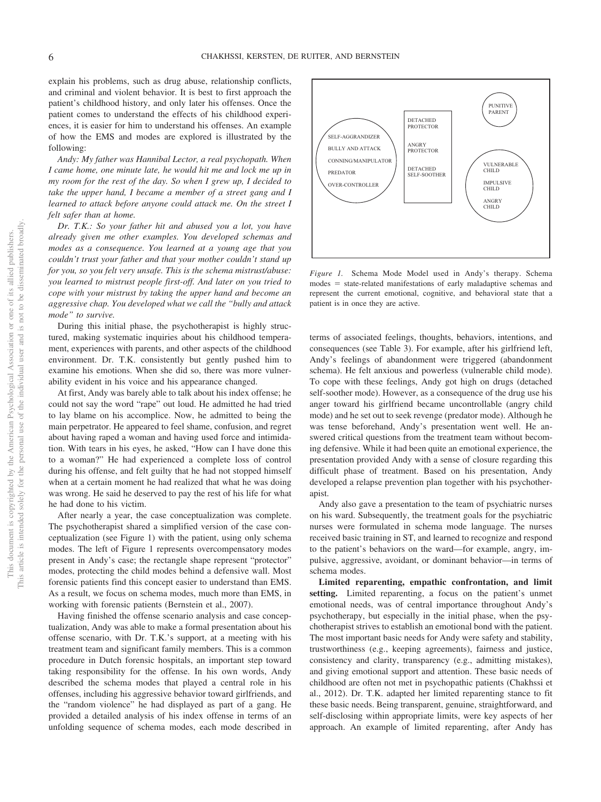explain his problems, such as drug abuse, relationship conflicts, and criminal and violent behavior. It is best to first approach the patient's childhood history, and only later his offenses. Once the patient comes to understand the effects of his childhood experiences, it is easier for him to understand his offenses. An example of how the EMS and modes are explored is illustrated by the following:

*Andy: My father was Hannibal Lector, a real psychopath. When I came home, one minute late, he would hit me and lock me up in my room for the rest of the day. So when I grew up, I decided to take the upper hand, I became a member of a street gang and I learned to attack before anyone could attack me. On the street I felt safer than at home.*

*Dr. T.K.: So your father hit and abused you a lot, you have already given me other examples. You developed schemas and modes as a consequence. You learned at a young age that you couldn't trust your father and that your mother couldn't stand up for you, so you felt very unsafe. This is the schema mistrust/abuse: you learned to mistrust people first-off. And later on you tried to cope with your mistrust by taking the upper hand and become an aggressive chap. You developed what we call the "bully and attack mode" to survive.*

During this initial phase, the psychotherapist is highly structured, making systematic inquiries about his childhood temperament, experiences with parents, and other aspects of the childhood environment. Dr. T.K. consistently but gently pushed him to examine his emotions. When she did so, there was more vulnerability evident in his voice and his appearance changed.

At first, Andy was barely able to talk about his index offense; he could not say the word "rape" out loud. He admitted he had tried to lay blame on his accomplice. Now, he admitted to being the main perpetrator. He appeared to feel shame, confusion, and regret about having raped a woman and having used force and intimidation. With tears in his eyes, he asked, "How can I have done this to a woman?" He had experienced a complete loss of control during his offense, and felt guilty that he had not stopped himself when at a certain moment he had realized that what he was doing was wrong. He said he deserved to pay the rest of his life for what he had done to his victim.

After nearly a year, the case conceptualization was complete. The psychotherapist shared a simplified version of the case conceptualization (see Figure 1) with the patient, using only schema modes. The left of Figure 1 represents overcompensatory modes present in Andy's case; the rectangle shape represent "protector" modes, protecting the child modes behind a defensive wall. Most forensic patients find this concept easier to understand than EMS. As a result, we focus on schema modes, much more than EMS, in working with forensic patients (Bernstein et al., 2007).

Having finished the offense scenario analysis and case conceptualization, Andy was able to make a formal presentation about his offense scenario, with Dr. T.K.'s support, at a meeting with his treatment team and significant family members. This is a common procedure in Dutch forensic hospitals, an important step toward taking responsibility for the offense. In his own words, Andy described the schema modes that played a central role in his offenses, including his aggressive behavior toward girlfriends, and the "random violence" he had displayed as part of a gang. He provided a detailed analysis of his index offense in terms of an unfolding sequence of schema modes, each mode described in



*Figure 1.* Schema Mode Model used in Andy's therapy. Schema  $modes = state-related manifestations of early maladaptive schemas and$ represent the current emotional, cognitive, and behavioral state that a patient is in once they are active.

terms of associated feelings, thoughts, behaviors, intentions, and consequences (see Table 3). For example, after his girlfriend left, Andy's feelings of abandonment were triggered (abandonment schema). He felt anxious and powerless (vulnerable child mode). To cope with these feelings, Andy got high on drugs (detached self-soother mode). However, as a consequence of the drug use his anger toward his girlfriend became uncontrollable (angry child mode) and he set out to seek revenge (predator mode). Although he was tense beforehand, Andy's presentation went well. He answered critical questions from the treatment team without becoming defensive. While it had been quite an emotional experience, the presentation provided Andy with a sense of closure regarding this difficult phase of treatment. Based on his presentation, Andy developed a relapse prevention plan together with his psychotherapist.

Andy also gave a presentation to the team of psychiatric nurses on his ward. Subsequently, the treatment goals for the psychiatric nurses were formulated in schema mode language. The nurses received basic training in ST, and learned to recognize and respond to the patient's behaviors on the ward—for example, angry, impulsive, aggressive, avoidant, or dominant behavior—in terms of schema modes.

**Limited reparenting, empathic confrontation, and limit** setting. Limited reparenting, a focus on the patient's unmet emotional needs, was of central importance throughout Andy's psychotherapy, but especially in the initial phase, when the psychotherapist strives to establish an emotional bond with the patient. The most important basic needs for Andy were safety and stability, trustworthiness (e.g., keeping agreements), fairness and justice, consistency and clarity, transparency (e.g., admitting mistakes), and giving emotional support and attention. These basic needs of childhood are often not met in psychopathic patients (Chakhssi et al., 2012). Dr. T.K. adapted her limited reparenting stance to fit these basic needs. Being transparent, genuine, straightforward, and self-disclosing within appropriate limits, were key aspects of her approach. An example of limited reparenting, after Andy has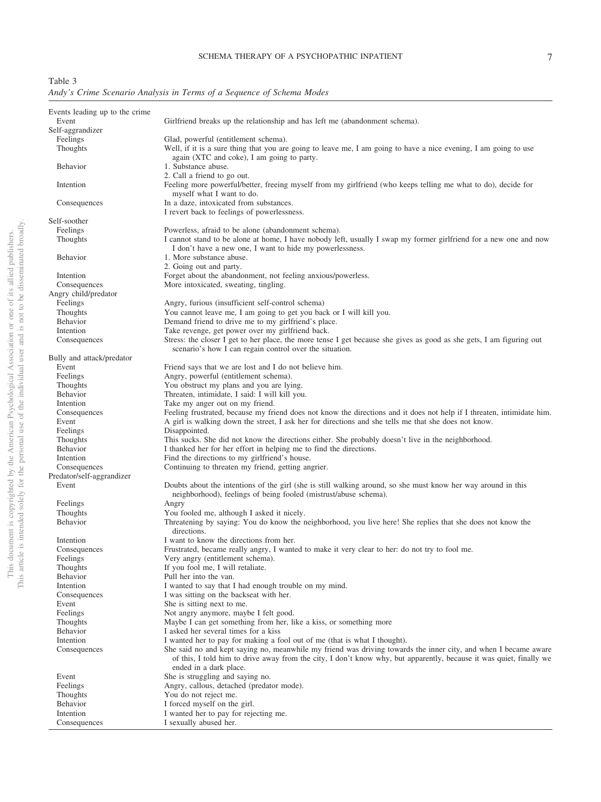| Table 3                                                               |  |
|-----------------------------------------------------------------------|--|
| Andy's Crime Scenario Analysis in Terms of a Sequence of Schema Modes |  |

| Events leading up to the crime     |                                                                                                                                                                                 |
|------------------------------------|---------------------------------------------------------------------------------------------------------------------------------------------------------------------------------|
| Event                              | Girlfriend breaks up the relationship and has left me (abandonment schema).                                                                                                     |
| Self-aggrandizer                   |                                                                                                                                                                                 |
| Feelings                           | Glad, powerful (entitlement schema).                                                                                                                                            |
| Thoughts                           | Well, if it is a sure thing that you are going to leave me, I am going to have a nice evening, I am going to use<br>again (XTC and coke), I am going to party.                  |
| <b>Behavior</b>                    | 1. Substance abuse.<br>2. Call a friend to go out.                                                                                                                              |
| Intention                          | Feeling more powerful/better, freeing myself from my girlfriend (who keeps telling me what to do), decide for<br>myself what I want to do.                                      |
| Consequences                       | In a daze, intoxicated from substances.                                                                                                                                         |
|                                    | I revert back to feelings of powerlessness.                                                                                                                                     |
| Self-soother                       |                                                                                                                                                                                 |
| Feelings                           | Powerless, afraid to be alone (abandonment schema).                                                                                                                             |
| Thoughts                           | I cannot stand to be alone at home, I have nobody left, usually I swap my former girlfriend for a new one and now<br>I don't have a new one, I want to hide my powerlessness.   |
| <b>Behavior</b>                    | 1. More substance abuse.<br>2. Going out and party.                                                                                                                             |
| Intention                          | Forget about the abandonment, not feeling anxious/powerless.                                                                                                                    |
| Consequences                       | More intoxicated, sweating, tingling.                                                                                                                                           |
| Angry child/predator               |                                                                                                                                                                                 |
| Feelings                           | Angry, furious (insufficient self-control schema)                                                                                                                               |
| Thoughts                           | You cannot leave me, I am going to get you back or I will kill you.                                                                                                             |
| Behavior                           | Demand friend to drive me to my girlfriend's place.                                                                                                                             |
| Intention                          | Take revenge, get power over my girlfriend back.                                                                                                                                |
| Consequences                       | Stress: the closer I get to her place, the more tense I get because she gives as good as she gets, I am figuring out<br>scenario's how I can regain control over the situation. |
| Bully and attack/predator          |                                                                                                                                                                                 |
| Event                              | Friend says that we are lost and I do not believe him.                                                                                                                          |
| Feelings                           | Angry, powerful (entitlement schema).                                                                                                                                           |
| Thoughts                           | You obstruct my plans and you are lying.                                                                                                                                        |
| Behavior                           | Threaten, intimidate, I said: I will kill you.                                                                                                                                  |
| Intention                          | Take my anger out on my friend.                                                                                                                                                 |
| Consequences                       | Feeling frustrated, because my friend does not know the directions and it does not help if I threaten, intimidate him.                                                          |
| Event                              | A girl is walking down the street, I ask her for directions and she tells me that she does not know.                                                                            |
| Feelings                           | Disappointed.                                                                                                                                                                   |
| Thoughts                           | This sucks. She did not know the directions either. She probably doesn't live in the neighborhood.                                                                              |
| Behavior                           | I thanked her for her effort in helping me to find the directions.                                                                                                              |
| Intention                          | Find the directions to my girlfriend's house.                                                                                                                                   |
| Consequences                       | Continuing to threaten my friend, getting angrier.                                                                                                                              |
| Predator/self-aggrandizer<br>Event | Doubts about the intentions of the girl (she is still walking around, so she must know her way around in this                                                                   |
| Feelings                           | neighborhood), feelings of being fooled (mistrust/abuse schema).<br>Angry                                                                                                       |
| Thoughts                           | You fooled me, although I asked it nicely.                                                                                                                                      |
| Behavior                           | Threatening by saying: You do know the neighborhood, you live here! She replies that she does not know the<br>directions.                                                       |
| Intention                          | I want to know the directions from her.                                                                                                                                         |
| Consequences                       | Frustrated, became really angry, I wanted to make it very clear to her: do not try to fool me.                                                                                  |
| Feelings                           | Very angry (entitlement schema).                                                                                                                                                |
| Thoughts                           | If you fool me, I will retaliate.                                                                                                                                               |
| Behavior                           | Pull her into the van.                                                                                                                                                          |
| Intention                          | I wanted to say that I had enough trouble on my mind.                                                                                                                           |
| Consequences                       | I was sitting on the backseat with her.                                                                                                                                         |
| Event                              | She is sitting next to me.                                                                                                                                                      |
| Feelings                           | Not angry anymore, maybe I felt good.                                                                                                                                           |
| Thoughts                           | Maybe I can get something from her, like a kiss, or something more                                                                                                              |
| Behavior                           | I asked her several times for a kiss                                                                                                                                            |
| Intention                          | I wanted her to pay for making a fool out of me (that is what I thought).                                                                                                       |
| Consequences                       | She said no and kept saying no, meanwhile my friend was driving towards the inner city, and when I became aware                                                                 |
|                                    | of this, I told him to drive away from the city, I don't know why, but apparently, because it was quiet, finally we                                                             |
|                                    | ended in a dark place.                                                                                                                                                          |
| Event                              | She is struggling and saying no.                                                                                                                                                |
| Feelings                           | Angry, callous, detached (predator mode).                                                                                                                                       |
| Thoughts                           | You do not reject me.                                                                                                                                                           |
| Behavior                           | I forced myself on the girl.                                                                                                                                                    |
| Intention                          | I wanted her to pay for rejecting me.                                                                                                                                           |
| Consequences                       | I sexually abused her.                                                                                                                                                          |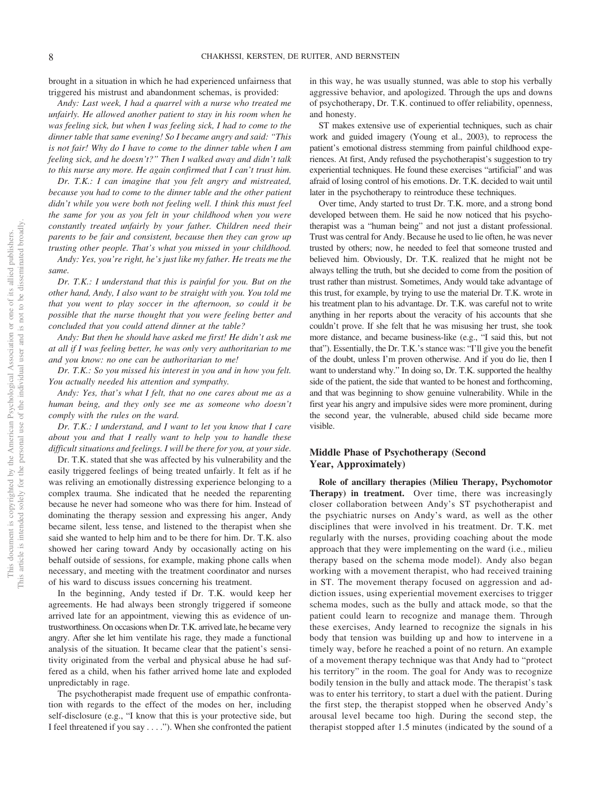brought in a situation in which he had experienced unfairness that triggered his mistrust and abandonment schemas, is provided:

*Andy: Last week, I had a quarrel with a nurse who treated me unfairly. He allowed another patient to stay in his room when he was feeling sick, but when I was feeling sick, I had to come to the dinner table that same evening! So I became angry and said: "This is not fair! Why do I have to come to the dinner table when I am feeling sick, and he doesn't?" Then I walked away and didn't talk to this nurse any more. He again confirmed that I can't trust him.*

*Dr. T.K.: I can imagine that you felt angry and mistreated, because you had to come to the dinner table and the other patient didn't while you were both not feeling well. I think this must feel the same for you as you felt in your childhood when you were constantly treated unfairly by your father. Children need their parents to be fair and consistent, because then they can grow up trusting other people. That's what you missed in your childhood.*

*Andy: Yes, you're right, he's just like my father. He treats me the same.*

*Dr. T.K.: I understand that this is painful for you. But on the other hand, Andy, I also want to be straight with you. You told me that you went to play soccer in the afternoon, so could it be possible that the nurse thought that you were feeling better and concluded that you could attend dinner at the table?*

*Andy: But then he should have asked me first! He didn't ask me at all if I was feeling better, he was only very authoritarian to me and you know: no one can be authoritarian to me!*

*Dr. T.K.: So you missed his interest in you and in how you felt. You actually needed his attention and sympathy.*

*Andy: Yes, that's what I felt, that no one cares about me as a human being, and they only see me as someone who doesn't comply with the rules on the ward.*

*Dr. T.K.: I understand, and I want to let you know that I care about you and that I really want to help you to handle these difficult situations and feelings. I will be there for you, at your side.*

Dr. T.K. stated that she was affected by his vulnerability and the easily triggered feelings of being treated unfairly. It felt as if he was reliving an emotionally distressing experience belonging to a complex trauma. She indicated that he needed the reparenting because he never had someone who was there for him. Instead of dominating the therapy session and expressing his anger, Andy became silent, less tense, and listened to the therapist when she said she wanted to help him and to be there for him. Dr. T.K. also showed her caring toward Andy by occasionally acting on his behalf outside of sessions, for example, making phone calls when necessary, and meeting with the treatment coordinator and nurses of his ward to discuss issues concerning his treatment.

In the beginning, Andy tested if Dr. T.K. would keep her agreements. He had always been strongly triggered if someone arrived late for an appointment, viewing this as evidence of untrustworthiness. On occasions when Dr. T.K. arrived late, he became very angry. After she let him ventilate his rage, they made a functional analysis of the situation. It became clear that the patient's sensitivity originated from the verbal and physical abuse he had suffered as a child, when his father arrived home late and exploded unpredictably in rage.

The psychotherapist made frequent use of empathic confrontation with regards to the effect of the modes on her, including self-disclosure (e.g., "I know that this is your protective side, but I feel threatened if you say . . . ."). When she confronted the patient in this way, he was usually stunned, was able to stop his verbally aggressive behavior, and apologized. Through the ups and downs of psychotherapy, Dr. T.K. continued to offer reliability, openness, and honesty.

ST makes extensive use of experiential techniques, such as chair work and guided imagery (Young et al., 2003), to reprocess the patient's emotional distress stemming from painful childhood experiences. At first, Andy refused the psychotherapist's suggestion to try experiential techniques. He found these exercises "artificial" and was afraid of losing control of his emotions. Dr. T.K. decided to wait until later in the psychotherapy to reintroduce these techniques.

Over time, Andy started to trust Dr. T.K. more, and a strong bond developed between them. He said he now noticed that his psychotherapist was a "human being" and not just a distant professional. Trust was central for Andy. Because he used to lie often, he was never trusted by others; now, he needed to feel that someone trusted and believed him. Obviously, Dr. T.K. realized that he might not be always telling the truth, but she decided to come from the position of trust rather than mistrust. Sometimes, Andy would take advantage of this trust, for example, by trying to use the material Dr. T.K. wrote in his treatment plan to his advantage. Dr. T.K. was careful not to write anything in her reports about the veracity of his accounts that she couldn't prove. If she felt that he was misusing her trust, she took more distance, and became business-like (e.g., "I said this, but not that"). Essentially, the Dr. T.K.'s stance was: "I'll give you the benefit of the doubt, unless I'm proven otherwise. And if you do lie, then I want to understand why." In doing so, Dr. T.K. supported the healthy side of the patient, the side that wanted to be honest and forthcoming, and that was beginning to show genuine vulnerability. While in the first year his angry and impulsive sides were more prominent, during the second year, the vulnerable, abused child side became more visible.

#### **Middle Phase of Psychotherapy (Second Year, Approximately)**

**Role of ancillary therapies (Milieu Therapy, Psychomotor Therapy) in treatment.** Over time, there was increasingly closer collaboration between Andy's ST psychotherapist and the psychiatric nurses on Andy's ward, as well as the other disciplines that were involved in his treatment. Dr. T.K. met regularly with the nurses, providing coaching about the mode approach that they were implementing on the ward (i.e., milieu therapy based on the schema mode model). Andy also began working with a movement therapist, who had received training in ST. The movement therapy focused on aggression and addiction issues, using experiential movement exercises to trigger schema modes, such as the bully and attack mode, so that the patient could learn to recognize and manage them. Through these exercises, Andy learned to recognize the signals in his body that tension was building up and how to intervene in a timely way, before he reached a point of no return. An example of a movement therapy technique was that Andy had to "protect his territory" in the room. The goal for Andy was to recognize bodily tension in the bully and attack mode. The therapist's task was to enter his territory, to start a duel with the patient. During the first step, the therapist stopped when he observed Andy's arousal level became too high. During the second step, the therapist stopped after 1.5 minutes (indicated by the sound of a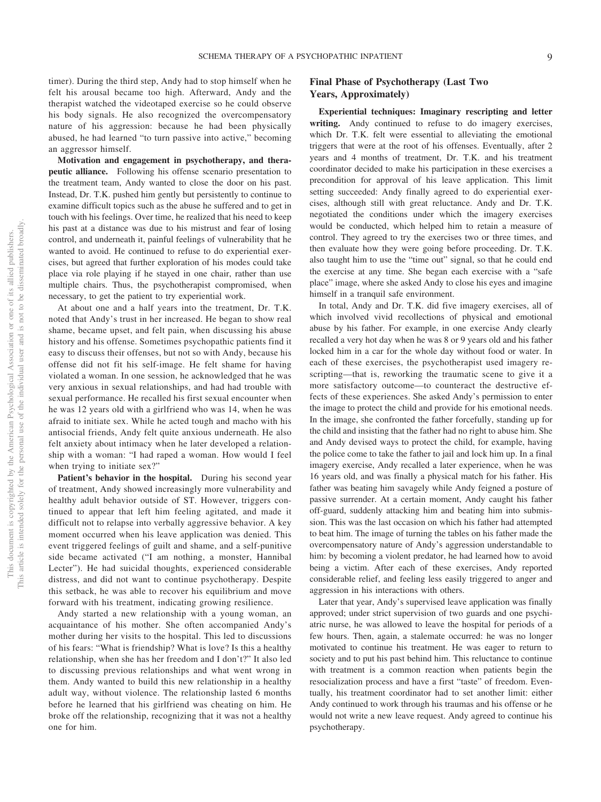timer). During the third step, Andy had to stop himself when he felt his arousal became too high. Afterward, Andy and the therapist watched the videotaped exercise so he could observe his body signals. He also recognized the overcompensatory nature of his aggression: because he had been physically abused, he had learned "to turn passive into active," becoming an aggressor himself.

**Motivation and engagement in psychotherapy, and therapeutic alliance.** Following his offense scenario presentation to the treatment team, Andy wanted to close the door on his past. Instead, Dr. T.K. pushed him gently but persistently to continue to examine difficult topics such as the abuse he suffered and to get in touch with his feelings. Over time, he realized that his need to keep his past at a distance was due to his mistrust and fear of losing control, and underneath it, painful feelings of vulnerability that he wanted to avoid. He continued to refuse to do experiential exercises, but agreed that further exploration of his modes could take place via role playing if he stayed in one chair, rather than use multiple chairs. Thus, the psychotherapist compromised, when necessary, to get the patient to try experiential work.

At about one and a half years into the treatment, Dr. T.K. noted that Andy's trust in her increased. He began to show real shame, became upset, and felt pain, when discussing his abuse history and his offense. Sometimes psychopathic patients find it easy to discuss their offenses, but not so with Andy, because his offense did not fit his self-image. He felt shame for having violated a woman. In one session, he acknowledged that he was very anxious in sexual relationships, and had had trouble with sexual performance. He recalled his first sexual encounter when he was 12 years old with a girlfriend who was 14, when he was afraid to initiate sex. While he acted tough and macho with his antisocial friends, Andy felt quite anxious underneath. He also felt anxiety about intimacy when he later developed a relationship with a woman: "I had raped a woman. How would I feel when trying to initiate sex?"

Patient's behavior in the hospital. During his second year of treatment, Andy showed increasingly more vulnerability and healthy adult behavior outside of ST. However, triggers continued to appear that left him feeling agitated, and made it difficult not to relapse into verbally aggressive behavior. A key moment occurred when his leave application was denied. This event triggered feelings of guilt and shame, and a self-punitive side became activated ("I am nothing, a monster, Hannibal Lecter"). He had suicidal thoughts, experienced considerable distress, and did not want to continue psychotherapy. Despite this setback, he was able to recover his equilibrium and move forward with his treatment, indicating growing resilience.

Andy started a new relationship with a young woman, an acquaintance of his mother. She often accompanied Andy's mother during her visits to the hospital. This led to discussions of his fears: "What is friendship? What is love? Is this a healthy relationship, when she has her freedom and I don't?" It also led to discussing previous relationships and what went wrong in them. Andy wanted to build this new relationship in a healthy adult way, without violence. The relationship lasted 6 months before he learned that his girlfriend was cheating on him. He broke off the relationship, recognizing that it was not a healthy one for him.

### **Final Phase of Psychotherapy (Last Two Years, Approximately)**

**Experiential techniques: Imaginary rescripting and letter** writing. Andy continued to refuse to do imagery exercises, which Dr. T.K. felt were essential to alleviating the emotional triggers that were at the root of his offenses. Eventually, after 2 years and 4 months of treatment, Dr. T.K. and his treatment coordinator decided to make his participation in these exercises a precondition for approval of his leave application. This limit setting succeeded: Andy finally agreed to do experiential exercises, although still with great reluctance. Andy and Dr. T.K. negotiated the conditions under which the imagery exercises would be conducted, which helped him to retain a measure of control. They agreed to try the exercises two or three times, and then evaluate how they were going before proceeding. Dr. T.K. also taught him to use the "time out" signal, so that he could end the exercise at any time. She began each exercise with a "safe place" image, where she asked Andy to close his eyes and imagine himself in a tranquil safe environment.

In total, Andy and Dr. T.K. did five imagery exercises, all of which involved vivid recollections of physical and emotional abuse by his father. For example, in one exercise Andy clearly recalled a very hot day when he was 8 or 9 years old and his father locked him in a car for the whole day without food or water. In each of these exercises, the psychotherapist used imagery rescripting—that is, reworking the traumatic scene to give it a more satisfactory outcome—to counteract the destructive effects of these experiences. She asked Andy's permission to enter the image to protect the child and provide for his emotional needs. In the image, she confronted the father forcefully, standing up for the child and insisting that the father had no right to abuse him. She and Andy devised ways to protect the child, for example, having the police come to take the father to jail and lock him up. In a final imagery exercise, Andy recalled a later experience, when he was 16 years old, and was finally a physical match for his father. His father was beating him savagely while Andy feigned a posture of passive surrender. At a certain moment, Andy caught his father off-guard, suddenly attacking him and beating him into submission. This was the last occasion on which his father had attempted to beat him. The image of turning the tables on his father made the overcompensatory nature of Andy's aggression understandable to him: by becoming a violent predator, he had learned how to avoid being a victim. After each of these exercises, Andy reported considerable relief, and feeling less easily triggered to anger and aggression in his interactions with others.

Later that year, Andy's supervised leave application was finally approved; under strict supervision of two guards and one psychiatric nurse, he was allowed to leave the hospital for periods of a few hours. Then, again, a stalemate occurred: he was no longer motivated to continue his treatment. He was eager to return to society and to put his past behind him. This reluctance to continue with treatment is a common reaction when patients begin the resocialization process and have a first "taste" of freedom. Eventually, his treatment coordinator had to set another limit: either Andy continued to work through his traumas and his offense or he would not write a new leave request. Andy agreed to continue his psychotherapy.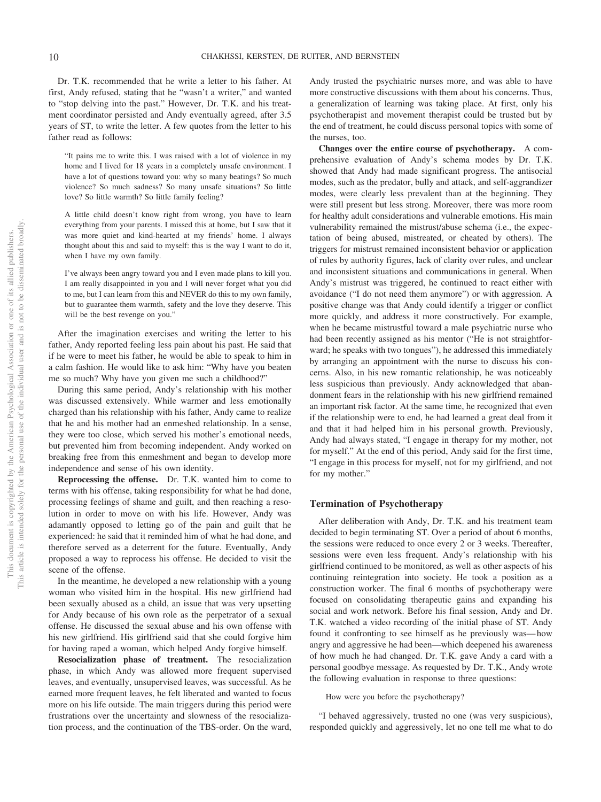Dr. T.K. recommended that he write a letter to his father. At first, Andy refused, stating that he "wasn't a writer," and wanted to "stop delving into the past." However, Dr. T.K. and his treatment coordinator persisted and Andy eventually agreed, after 3.5 years of ST, to write the letter. A few quotes from the letter to his father read as follows:

"It pains me to write this. I was raised with a lot of violence in my home and I lived for 18 years in a completely unsafe environment. I have a lot of questions toward you: why so many beatings? So much violence? So much sadness? So many unsafe situations? So little love? So little warmth? So little family feeling?

A little child doesn't know right from wrong, you have to learn everything from your parents. I missed this at home, but I saw that it was more quiet and kind-hearted at my friends' home. I always thought about this and said to myself: this is the way I want to do it, when I have my own family.

I've always been angry toward you and I even made plans to kill you. I am really disappointed in you and I will never forget what you did to me, but I can learn from this and NEVER do this to my own family, but to guarantee them warmth, safety and the love they deserve. This will be the best revenge on you."

After the imagination exercises and writing the letter to his father, Andy reported feeling less pain about his past. He said that if he were to meet his father, he would be able to speak to him in a calm fashion. He would like to ask him: "Why have you beaten me so much? Why have you given me such a childhood?"

During this same period, Andy's relationship with his mother was discussed extensively. While warmer and less emotionally charged than his relationship with his father, Andy came to realize that he and his mother had an enmeshed relationship. In a sense, they were too close, which served his mother's emotional needs, but prevented him from becoming independent. Andy worked on breaking free from this enmeshment and began to develop more independence and sense of his own identity.

**Reprocessing the offense.** Dr. T.K. wanted him to come to terms with his offense, taking responsibility for what he had done, processing feelings of shame and guilt, and then reaching a resolution in order to move on with his life. However, Andy was adamantly opposed to letting go of the pain and guilt that he experienced: he said that it reminded him of what he had done, and therefore served as a deterrent for the future. Eventually, Andy proposed a way to reprocess his offense. He decided to visit the scene of the offense.

In the meantime, he developed a new relationship with a young woman who visited him in the hospital. His new girlfriend had been sexually abused as a child, an issue that was very upsetting for Andy because of his own role as the perpetrator of a sexual offense. He discussed the sexual abuse and his own offense with his new girlfriend. His girlfriend said that she could forgive him for having raped a woman, which helped Andy forgive himself.

**Resocialization phase of treatment.** The resocialization phase, in which Andy was allowed more frequent supervised leaves, and eventually, unsupervised leaves, was successful. As he earned more frequent leaves, he felt liberated and wanted to focus more on his life outside. The main triggers during this period were frustrations over the uncertainty and slowness of the resocialization process, and the continuation of the TBS-order. On the ward,

Andy trusted the psychiatric nurses more, and was able to have more constructive discussions with them about his concerns. Thus, a generalization of learning was taking place. At first, only his psychotherapist and movement therapist could be trusted but by the end of treatment, he could discuss personal topics with some of the nurses, too.

**Changes over the entire course of psychotherapy.** A comprehensive evaluation of Andy's schema modes by Dr. T.K. showed that Andy had made significant progress. The antisocial modes, such as the predator, bully and attack, and self-aggrandizer modes, were clearly less prevalent than at the beginning. They were still present but less strong. Moreover, there was more room for healthy adult considerations and vulnerable emotions. His main vulnerability remained the mistrust/abuse schema (i.e., the expectation of being abused, mistreated, or cheated by others). The triggers for mistrust remained inconsistent behavior or application of rules by authority figures, lack of clarity over rules, and unclear and inconsistent situations and communications in general. When Andy's mistrust was triggered, he continued to react either with avoidance ("I do not need them anymore") or with aggression. A positive change was that Andy could identify a trigger or conflict more quickly, and address it more constructively. For example, when he became mistrustful toward a male psychiatric nurse who had been recently assigned as his mentor ("He is not straightforward; he speaks with two tongues"), he addressed this immediately by arranging an appointment with the nurse to discuss his concerns. Also, in his new romantic relationship, he was noticeably less suspicious than previously. Andy acknowledged that abandonment fears in the relationship with his new girlfriend remained an important risk factor. At the same time, he recognized that even if the relationship were to end, he had learned a great deal from it and that it had helped him in his personal growth. Previously, Andy had always stated, "I engage in therapy for my mother, not for myself." At the end of this period, Andy said for the first time, "I engage in this process for myself, not for my girlfriend, and not for my mother."

#### **Termination of Psychotherapy**

After deliberation with Andy, Dr. T.K. and his treatment team decided to begin terminating ST. Over a period of about 6 months, the sessions were reduced to once every 2 or 3 weeks. Thereafter, sessions were even less frequent. Andy's relationship with his girlfriend continued to be monitored, as well as other aspects of his continuing reintegration into society. He took a position as a construction worker. The final 6 months of psychotherapy were focused on consolidating therapeutic gains and expanding his social and work network. Before his final session, Andy and Dr. T.K. watched a video recording of the initial phase of ST. Andy found it confronting to see himself as he previously was— how angry and aggressive he had been—which deepened his awareness of how much he had changed. Dr. T.K. gave Andy a card with a personal goodbye message. As requested by Dr. T.K., Andy wrote the following evaluation in response to three questions:

How were you before the psychotherapy?

"I behaved aggressively, trusted no one (was very suspicious), responded quickly and aggressively, let no one tell me what to do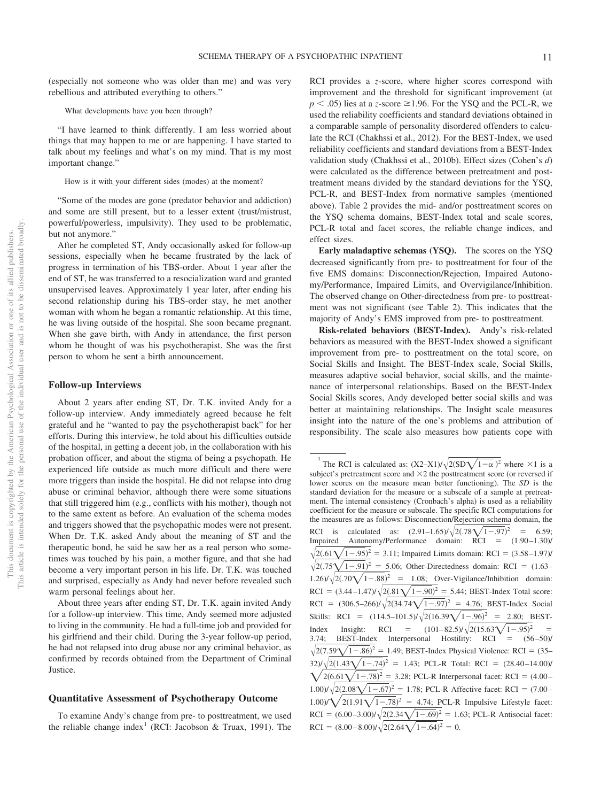(especially not someone who was older than me) and was very rebellious and attributed everything to others."

What developments have you been through?

"I have learned to think differently. I am less worried about things that may happen to me or are happening. I have started to talk about my feelings and what's on my mind. That is my most important change."

How is it with your different sides (modes) at the moment?

"Some of the modes are gone (predator behavior and addiction) and some are still present, but to a lesser extent (trust/mistrust, powerful/powerless, impulsivity). They used to be problematic, but not anymore."

After he completed ST, Andy occasionally asked for follow-up sessions, especially when he became frustrated by the lack of progress in termination of his TBS-order. About 1 year after the end of ST, he was transferred to a resocialization ward and granted unsupervised leaves. Approximately 1 year later, after ending his second relationship during his TBS-order stay, he met another woman with whom he began a romantic relationship. At this time, he was living outside of the hospital. She soon became pregnant. When she gave birth, with Andy in attendance, the first person whom he thought of was his psychotherapist. She was the first person to whom he sent a birth announcement.

#### **Follow-up Interviews**

About 2 years after ending ST, Dr. T.K. invited Andy for a follow-up interview. Andy immediately agreed because he felt grateful and he "wanted to pay the psychotherapist back" for her efforts. During this interview, he told about his difficulties outside of the hospital, in getting a decent job, in the collaboration with his probation officer, and about the stigma of being a psychopath. He experienced life outside as much more difficult and there were more triggers than inside the hospital. He did not relapse into drug abuse or criminal behavior, although there were some situations that still triggered him (e.g., conflicts with his mother), though not to the same extent as before. An evaluation of the schema modes and triggers showed that the psychopathic modes were not present. When Dr. T.K. asked Andy about the meaning of ST and the therapeutic bond, he said he saw her as a real person who sometimes was touched by his pain, a mother figure, and that she had become a very important person in his life. Dr. T.K. was touched and surprised, especially as Andy had never before revealed such warm personal feelings about her.

About three years after ending ST, Dr. T.K. again invited Andy for a follow-up interview. This time, Andy seemed more adjusted to living in the community. He had a full-time job and provided for his girlfriend and their child. During the 3-year follow-up period, he had not relapsed into drug abuse nor any criminal behavior, as confirmed by records obtained from the Department of Criminal Justice.

#### **Quantitative Assessment of Psychotherapy Outcome**

To examine Andy's change from pre- to posttreatment, we used the reliable change index<sup>1</sup> (RCI: Jacobson & Truax, 1991). The

RCI provides a *z*-score, where higher scores correspond with improvement and the threshold for significant improvement (at  $p < .05$ ) lies at a *z*-score  $\geq 1.96$ . For the YSQ and the PCL-R, we used the reliability coefficients and standard deviations obtained in a comparable sample of personality disordered offenders to calculate the RCI (Chakhssi et al., 2012). For the BEST-Index, we used reliability coefficients and standard deviations from a BEST-Index validation study (Chakhssi et al., 2010b). Effect sizes (Cohen's *d*) were calculated as the difference between pretreatment and posttreatment means divided by the standard deviations for the YSQ, PCL-R, and BEST-Index from normative samples (mentioned above). Table 2 provides the mid- and/or posttreatment scores on the YSQ schema domains, BEST-Index total and scale scores, PCL-R total and facet scores, the reliable change indices, and effect sizes.

**Early maladaptive schemas (YSQ).** The scores on the YSQ decreased significantly from pre- to posttreatment for four of the five EMS domains: Disconnection/Rejection, Impaired Autonomy/Performance, Impaired Limits, and Overvigilance/Inhibition. The observed change on Other-directedness from pre- to posttreatment was not significant (see Table 2). This indicates that the majority of Andy's EMS improved from pre- to posttreatment.

**Risk-related behaviors (BEST-Index).** Andy's risk-related behaviors as measured with the BEST-Index showed a significant improvement from pre- to posttreatment on the total score, on Social Skills and Insight. The BEST-Index scale, Social Skills, measures adaptive social behavior, social skills, and the maintenance of interpersonal relationships. Based on the BEST-Index Social Skills scores, Andy developed better social skills and was better at maintaining relationships. The Insight scale measures insight into the nature of the one's problems and attribution of responsibility. The scale also measures how patients cope with

<sup>1</sup> The RCI is calculated as:  $(X2-X1)/\sqrt{2(SD\sqrt{1-\alpha})^2}$  where  $\times 1$  is a subject's pretreatment score and  $\times$ 2 the posttreatment score (or reversed if lower scores on the measure mean better functioning). The *SD* is the standard deviation for the measure or a subscale of a sample at pretreatment. The internal consistency (Cronbach's alpha) is used as a reliability coefficient for the measure or subscale. The specific RCI computations for the measures are as follows: Disconnection/Rejection schema domain, the RCI is calculated as:  $(2.91-1.65)/\sqrt{2(.78\sqrt{1-.97})}$ 6.59: Impaired Autonomy/Performance domain: RCI =  $(1.90-1.30)$ /  $\sqrt{2(.61\sqrt{1-.95})^2}$  = 3.11; Impaired Limits domain: RCI = (3.58–1.97)/  $\sqrt{2(.75\sqrt{1-.91)^2} = 5.06}$ ; Other-Directedness domain: RCI = (1.63–  $1.26$ / $\sqrt{2(.70\sqrt{1-.88})^2}$  = 1.08; Over-Vigilance/Inhibition domain: RCI =  $(3.44 - 1.47) / \sqrt{2(0.81 \sqrt{1 - .90})^2}$  = 5.44; BEST-Index Total score: RCI =  $(306.5-266)/\sqrt{2(34.74\sqrt{1-.97})^2} = 4.76$ ; BEST-Index Social Skills: RCI =  $(114.5-101.5)/\sqrt{2(16.39\sqrt{1-.96})^2}$  = 2.80; BEST-Index Insight: RCI =  $(101-82.5)/\sqrt{2(15.63\sqrt{1-.95})}$  $\overline{a}$ 3.74; BEST-Index Interpersonal Hostility:  $RCI = (56-50)/$  $\sqrt{2(7.59\sqrt{1-.86})^2} = 1.49$ ; BEST-Index Physical Violence: RCI = (35–  $32)/\sqrt{2(1.43\sqrt{1-.74})^2}$  = 1.43; PCL-R Total: RCI = (28.40–14.00)/  $\sqrt{2(6.61\sqrt{1-.78})^2}$  = 3.28; PCL-R Interpersonal facet: RCI = (4.00–  $1.00$ )/ $\sqrt{2(2.08\sqrt{1-.67})^2}$  = 1.78; PCL-R Affective facet: RCI = (7.00–  $1.00$ )/ $\sqrt{2(1.91\sqrt{1-.78)^2} = 4.74}$ ; PCL-R Impulsive Lifestyle facet: RCI =  $(6.00-3.00)/\sqrt{\frac{2(2.34\sqrt{1-.69})^2}{2}}$  = 1.63; PCL-R Antisocial facet: RCI =  $(8.00 - 8.00) / \sqrt{2(2.64 \sqrt{1 - .64})^2} = 0.$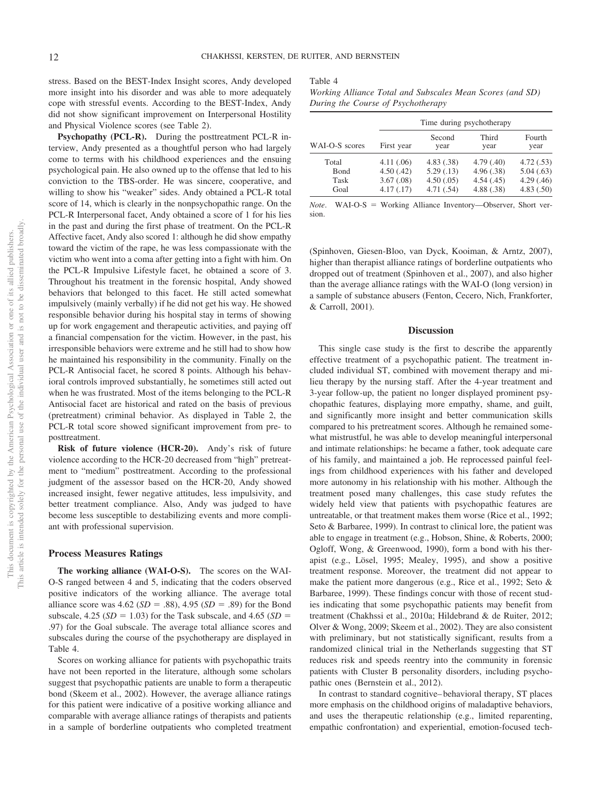stress. Based on the BEST-Index Insight scores, Andy developed more insight into his disorder and was able to more adequately cope with stressful events. According to the BEST-Index, Andy did not show significant improvement on Interpersonal Hostility and Physical Violence scores (see Table 2).

**Psychopathy (PCL-R).** During the posttreatment PCL-R interview, Andy presented as a thoughtful person who had largely come to terms with his childhood experiences and the ensuing psychological pain. He also owned up to the offense that led to his conviction to the TBS-order. He was sincere, cooperative, and willing to show his "weaker" sides. Andy obtained a PCL-R total score of 14, which is clearly in the nonpsychopathic range. On the PCL-R Interpersonal facet, Andy obtained a score of 1 for his lies in the past and during the first phase of treatment. On the PCL-R Affective facet, Andy also scored 1: although he did show empathy toward the victim of the rape, he was less compassionate with the victim who went into a coma after getting into a fight with him. On the PCL-R Impulsive Lifestyle facet, he obtained a score of 3. Throughout his treatment in the forensic hospital, Andy showed behaviors that belonged to this facet. He still acted somewhat impulsively (mainly verbally) if he did not get his way. He showed responsible behavior during his hospital stay in terms of showing up for work engagement and therapeutic activities, and paying off a financial compensation for the victim. However, in the past, his irresponsible behaviors were extreme and he still had to show how he maintained his responsibility in the community. Finally on the PCL-R Antisocial facet, he scored 8 points. Although his behavioral controls improved substantially, he sometimes still acted out when he was frustrated. Most of the items belonging to the PCL-R Antisocial facet are historical and rated on the basis of previous (pretreatment) criminal behavior. As displayed in Table 2, the PCL-R total score showed significant improvement from pre- to posttreatment.

**Risk of future violence (HCR-20).** Andy's risk of future violence according to the HCR-20 decreased from "high" pretreatment to "medium" posttreatment. According to the professional judgment of the assessor based on the HCR-20, Andy showed increased insight, fewer negative attitudes, less impulsivity, and better treatment compliance. Also, Andy was judged to have become less susceptible to destabilizing events and more compliant with professional supervision.

#### **Process Measures Ratings**

**The working alliance (WAI-O-S).** The scores on the WAI-O-S ranged between 4 and 5, indicating that the coders observed positive indicators of the working alliance. The average total alliance score was  $4.62$  (*SD* = .88),  $4.95$  (*SD* = .89) for the Bond subscale,  $4.25$  ( $SD = 1.03$ ) for the Task subscale, and  $4.65$  ( $SD =$ .97) for the Goal subscale. The average total alliance scores and subscales during the course of the psychotherapy are displayed in Table 4.

Scores on working alliance for patients with psychopathic traits have not been reported in the literature, although some scholars suggest that psychopathic patients are unable to form a therapeutic bond (Skeem et al., 2002). However, the average alliance ratings for this patient were indicative of a positive working alliance and comparable with average alliance ratings of therapists and patients in a sample of borderline outpatients who completed treatment

*Working Alliance Total and Subscales Mean Scores (and SD) During the Course of Psychotherapy*

|            | Time during psychotherapy |               |                |  |
|------------|---------------------------|---------------|----------------|--|
| First year | Second<br>year            | Third<br>year | Fourth<br>year |  |
| 4.11(.06)  | 4.83(.38)                 | 4.79(0.40)    | 4.72(.53)      |  |
| 4.50(.42)  | 5.29(0.13)                | 4.96(.38)     | 5.04(0.63)     |  |
| 3.67(.08)  | 4.50(.05)                 | 4.54(0.45)    | 4.29(.46)      |  |
| 4.17(0.17) | 4.71(.54)                 | 4.88(.38)     | 4.83(.50)      |  |
|            |                           |               |                |  |

*Note*. WAI-O-S = Working Alliance Inventory—Observer, Short version.

(Spinhoven, Giesen-Bloo, van Dyck, Kooiman, & Arntz, 2007), higher than therapist alliance ratings of borderline outpatients who dropped out of treatment (Spinhoven et al., 2007), and also higher than the average alliance ratings with the WAI-O (long version) in a sample of substance abusers (Fenton, Cecero, Nich, Frankforter, & Carroll, 2001).

#### **Discussion**

This single case study is the first to describe the apparently effective treatment of a psychopathic patient. The treatment included individual ST, combined with movement therapy and milieu therapy by the nursing staff. After the 4-year treatment and 3-year follow-up, the patient no longer displayed prominent psychopathic features, displaying more empathy, shame, and guilt, and significantly more insight and better communication skills compared to his pretreatment scores. Although he remained somewhat mistrustful, he was able to develop meaningful interpersonal and intimate relationships: he became a father, took adequate care of his family, and maintained a job. He reprocessed painful feelings from childhood experiences with his father and developed more autonomy in his relationship with his mother. Although the treatment posed many challenges, this case study refutes the widely held view that patients with psychopathic features are untreatable, or that treatment makes them worse (Rice et al., 1992; Seto & Barbaree, 1999). In contrast to clinical lore, the patient was able to engage in treatment (e.g., Hobson, Shine, & Roberts, 2000; Ogloff, Wong, & Greenwood, 1990), form a bond with his therapist (e.g., Lösel, 1995; Mealey, 1995), and show a positive treatment response. Moreover, the treatment did not appear to make the patient more dangerous (e.g., Rice et al., 1992; Seto & Barbaree, 1999). These findings concur with those of recent studies indicating that some psychopathic patients may benefit from treatment (Chakhssi et al., 2010a; Hildebrand & de Ruiter, 2012; Olver & Wong, 2009; Skeem et al., 2002). They are also consistent with preliminary, but not statistically significant, results from a randomized clinical trial in the Netherlands suggesting that ST reduces risk and speeds reentry into the community in forensic patients with Cluster B personality disorders, including psychopathic ones (Bernstein et al., 2012).

In contrast to standard cognitive– behavioral therapy, ST places more emphasis on the childhood origins of maladaptive behaviors, and uses the therapeutic relationship (e.g., limited reparenting, empathic confrontation) and experiential, emotion-focused tech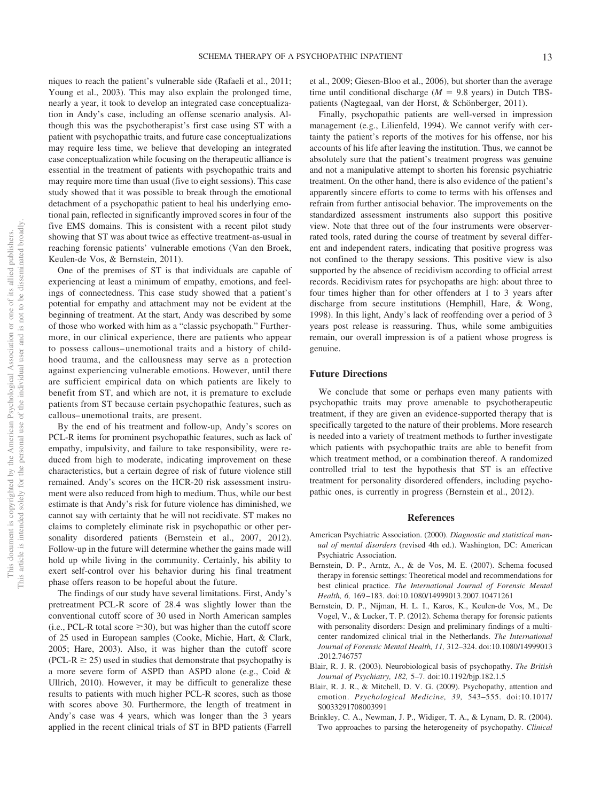niques to reach the patient's vulnerable side (Rafaeli et al., 2011; Young et al., 2003). This may also explain the prolonged time, nearly a year, it took to develop an integrated case conceptualization in Andy's case, including an offense scenario analysis. Although this was the psychotherapist's first case using ST with a patient with psychopathic traits, and future case conceptualizations may require less time, we believe that developing an integrated case conceptualization while focusing on the therapeutic alliance is essential in the treatment of patients with psychopathic traits and may require more time than usual (five to eight sessions). This case study showed that it was possible to break through the emotional detachment of a psychopathic patient to heal his underlying emotional pain, reflected in significantly improved scores in four of the five EMS domains. This is consistent with a recent pilot study showing that ST was about twice as effective treatment-as-usual in reaching forensic patients' vulnerable emotions (Van den Broek, Keulen-de Vos, & Bernstein, 2011).

One of the premises of ST is that individuals are capable of experiencing at least a minimum of empathy, emotions, and feelings of connectedness. This case study showed that a patient's potential for empathy and attachment may not be evident at the beginning of treatment. At the start, Andy was described by some of those who worked with him as a "classic psychopath." Furthermore, in our clinical experience, there are patients who appear to possess callous– unemotional traits and a history of childhood trauma, and the callousness may serve as a protection against experiencing vulnerable emotions. However, until there are sufficient empirical data on which patients are likely to benefit from ST, and which are not, it is premature to exclude patients from ST because certain psychopathic features, such as callous– unemotional traits, are present.

By the end of his treatment and follow-up, Andy's scores on PCL-R items for prominent psychopathic features, such as lack of empathy, impulsivity, and failure to take responsibility, were reduced from high to moderate, indicating improvement on these characteristics, but a certain degree of risk of future violence still remained. Andy's scores on the HCR-20 risk assessment instrument were also reduced from high to medium. Thus, while our best estimate is that Andy's risk for future violence has diminished, we cannot say with certainty that he will not recidivate. ST makes no claims to completely eliminate risk in psychopathic or other personality disordered patients (Bernstein et al., 2007, 2012). Follow-up in the future will determine whether the gains made will hold up while living in the community. Certainly, his ability to exert self-control over his behavior during his final treatment phase offers reason to be hopeful about the future.

The findings of our study have several limitations. First, Andy's pretreatment PCL-R score of 28.4 was slightly lower than the conventional cutoff score of 30 used in North American samples (i.e., PCL-R total score  $\geq 30$ ), but was higher than the cutoff score of 25 used in European samples (Cooke, Michie, Hart, & Clark, 2005; Hare, 2003). Also, it was higher than the cutoff score  $(PCL-R \ge 25)$  used in studies that demonstrate that psychopathy is a more severe form of ASPD than ASPD alone (e.g., Coid & Ullrich, 2010). However, it may be difficult to generalize these results to patients with much higher PCL-R scores, such as those with scores above 30. Furthermore, the length of treatment in Andy's case was 4 years, which was longer than the 3 years applied in the recent clinical trials of ST in BPD patients (Farrell

et al., 2009; Giesen-Bloo et al., 2006), but shorter than the average time until conditional discharge  $(M = 9.8 \text{ years})$  in Dutch TBSpatients (Nagtegaal, van der Horst, & Schönberger, 2011).

Finally, psychopathic patients are well-versed in impression management (e.g., Lilienfeld, 1994). We cannot verify with certainty the patient's reports of the motives for his offense, nor his accounts of his life after leaving the institution. Thus, we cannot be absolutely sure that the patient's treatment progress was genuine and not a manipulative attempt to shorten his forensic psychiatric treatment. On the other hand, there is also evidence of the patient's apparently sincere efforts to come to terms with his offenses and refrain from further antisocial behavior. The improvements on the standardized assessment instruments also support this positive view. Note that three out of the four instruments were observerrated tools, rated during the course of treatment by several different and independent raters, indicating that positive progress was not confined to the therapy sessions. This positive view is also supported by the absence of recidivism according to official arrest records. Recidivism rates for psychopaths are high: about three to four times higher than for other offenders at 1 to 3 years after discharge from secure institutions (Hemphill, Hare, & Wong, 1998). In this light, Andy's lack of reoffending over a period of 3 years post release is reassuring. Thus, while some ambiguities remain, our overall impression is of a patient whose progress is genuine.

#### **Future Directions**

We conclude that some or perhaps even many patients with psychopathic traits may prove amenable to psychotherapeutic treatment, if they are given an evidence-supported therapy that is specifically targeted to the nature of their problems. More research is needed into a variety of treatment methods to further investigate which patients with psychopathic traits are able to benefit from which treatment method, or a combination thereof. A randomized controlled trial to test the hypothesis that ST is an effective treatment for personality disordered offenders, including psychopathic ones, is currently in progress (Bernstein et al., 2012).

#### **References**

- American Psychiatric Association. (2000). *Diagnostic and statistical manual of mental disorders* (revised 4th ed.). Washington, DC: American Psychiatric Association.
- Bernstein, D. P., Arntz, A., & de Vos, M. E. (2007). Schema focused therapy in forensic settings: Theoretical model and recommendations for best clinical practice. *The International Journal of Forensic Mental Health, 6,* 169 –183. doi:10.1080/14999013.2007.10471261
- Bernstein, D. P., Nijman, H. L. I., Karos, K., Keulen-de Vos, M., De Vogel, V., & Lucker, T. P. (2012). Schema therapy for forensic patients with personality disorders: Design and preliminary findings of a multicenter randomized clinical trial in the Netherlands. *The International Journal of Forensic Mental Health, 11,* 312–324. doi:10.1080/14999013 .2012.746757
- Blair, R. J. R. (2003). Neurobiological basis of psychopathy. *The British Journal of Psychiatry, 182,* 5–7. doi:10.1192/bjp.182.1.5
- Blair, R. J. R., & Mitchell, D. V. G. (2009). Psychopathy, attention and emotion. *Psychological Medicine, 39,* 543–555. doi:10.1017/ S0033291708003991
- Brinkley, C. A., Newman, J. P., Widiger, T. A., & Lynam, D. R. (2004). Two approaches to parsing the heterogeneity of psychopathy. *Clinical*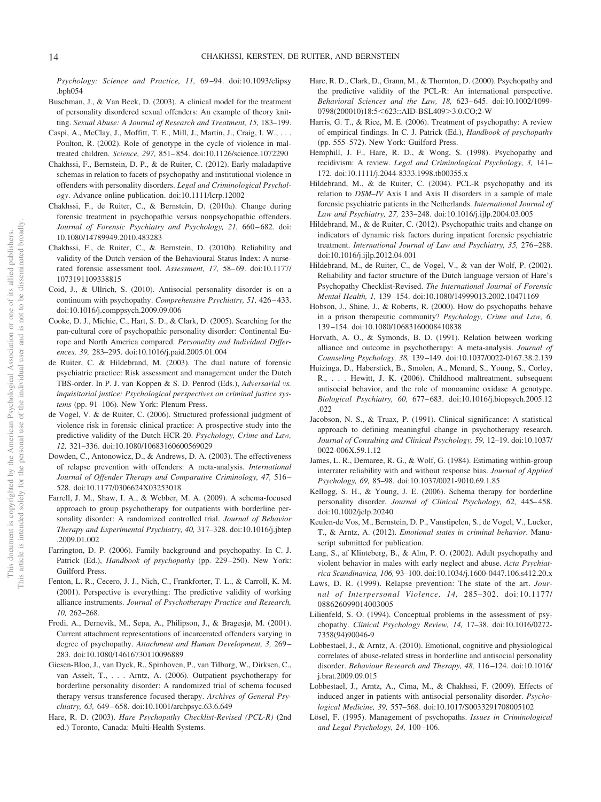*Psychology: Science and Practice, 11,* 69 –94. doi:10.1093/clipsy .bph054

- Buschman, J., & Van Beek, D. (2003). A clinical model for the treatment of personality disordered sexual offenders: An example of theory knitting. *Sexual Abuse: A Journal of Research and Treatment, 15,* 183–199.
- Caspi, A., McClay, J., Moffitt, T. E., Mill, J., Martin, J., Craig, I. W.,... Poulton, R. (2002). Role of genotype in the cycle of violence in maltreated children. *Science, 297,* 851– 854. doi:10.1126/science.1072290
- Chakhssi, F., Bernstein, D. P., & de Ruiter, C. (2012). Early maladaptive schemas in relation to facets of psychopathy and institutional violence in offenders with personality disorders. *Legal and Criminological Psychology*. Advance online publication. doi:10.1111/lcrp.12002
- Chakhssi, F., de Ruiter, C., & Bernstein, D. (2010a). Change during forensic treatment in psychopathic versus nonpsychopathic offenders. Journal of Forensic Psychiatry and Psychology, 21, 660-682. doi: 10.1080/14789949.2010.483283
- Chakhssi, F., de Ruiter, C., & Bernstein, D. (2010b). Reliability and validity of the Dutch version of the Behavioural Status Index: A nurserated forensic assessment tool. *Assessment, 17, 58*-69. doi:10.1177/ 1073191109338815
- Coid, J., & Ullrich, S. (2010). Antisocial personality disorder is on a continuum with psychopathy. *Comprehensive Psychiatry, 51,* 426 – 433. doi:10.1016/j.comppsych.2009.09.006
- Cooke, D. J., Michie, C., Hart, S. D., & Clark, D. (2005). Searching for the pan-cultural core of psychopathic personality disorder: Continental Europe and North America compared. *Personality and Individual Differences, 39,* 283–295. doi:10.1016/j.paid.2005.01.004
- de Ruiter, C. & Hildebrand, M. (2003). The dual nature of forensic psychiatric practice: Risk assessment and management under the Dutch TBS-order. In P. J. van Koppen & S. D. Penrod (Eds.), *Adversarial vs. inquisitorial justice: Psychological perspectives on criminal justice systems* (pp. 91–106). New York: Plenum Press.
- de Vogel, V. & de Ruiter, C. (2006). Structured professional judgment of violence risk in forensic clinical practice: A prospective study into the predictive validity of the Dutch HCR-20. *Psychology, Crime and Law, 12,* 321–336. doi:10.1080/10683160600569029
- Dowden, C., Antonowicz, D., & Andrews, D. A. (2003). The effectiveness of relapse prevention with offenders: A meta-analysis. *International Journal of Offender Therapy and Comparative Criminology, 47,* 516 – 528. doi:10.1177/0306624X03253018
- Farrell, J. M., Shaw, I. A., & Webber, M. A. (2009). A schema-focused approach to group psychotherapy for outpatients with borderline personality disorder: A randomized controlled trial. *Journal of Behavior Therapy and Experimental Psychiatry, 40,* 317–328. doi:10.1016/j.jbtep .2009.01.002
- Farrington, D. P. (2006). Family background and psychopathy. In C. J. Patrick (Ed.), *Handbook of psychopathy* (pp. 229 –250). New York: Guilford Press.
- Fenton, L. R., Cecero, J. J., Nich, C., Frankforter, T. L., & Carroll, K. M. (2001). Perspective is everything: The predictive validity of working alliance instruments. *Journal of Psychotherapy Practice and Research, 10,* 262–268.
- Frodi, A., Dernevik, M., Sepa, A., Philipson, J., & Bragesjø, M. (2001). Current attachment representations of incarcerated offenders varying in degree of psychopathy. *Attachment and Human Development, 3,* 269 – 283. doi:10.1080/14616730110096889
- Giesen-Bloo, J., van Dyck, R., Spinhoven, P., van Tilburg, W., Dirksen, C., van Asselt, T.,... Arntz, A. (2006). Outpatient psychotherapy for borderline personality disorder: A randomized trial of schema focused therapy versus transference focused therapy. *Archives of General Psychiatry, 63,* 649 – 658. doi:10.1001/archpsyc.63.6.649
- Hare, R. D. (2003). *Hare Psychopathy Checklist-Revised (PCL-R)* (2nd ed.) Toronto, Canada: Multi-Health Systems.
- Hare, R. D., Clark, D., Grann, M., & Thornton, D. (2000). Psychopathy and the predictive validity of the PCL-R: An international perspective. *Behavioral Sciences and the Law, 18,* 623– 645. doi:10.1002/1099- 0798(200010)18:5<623::AID-BSL409>3.0.CO;2-W
- Harris, G. T., & Rice, M. E. (2006). Treatment of psychopathy: A review of empirical findings. In C. J. Patrick (Ed.), *Handbook of psychopathy* (pp. 555–572). New York: Guilford Press.
- Hemphill, J. F., Hare, R. D., & Wong, S. (1998). Psychopathy and recidivism: A review. *Legal and Criminological Psychology, 3,* 141– 172. doi:10.1111/j.2044-8333.1998.tb00355.x
- Hildebrand, M., & de Ruiter, C. (2004). PCL-R psychopathy and its relation to *DSM–IV* Axis I and Axis II disorders in a sample of male forensic psychiatric patients in the Netherlands. *International Journal of Law and Psychiatry, 27,* 233–248. doi:10.1016/j.ijlp.2004.03.005
- Hildebrand, M., & de Ruiter, C. (2012). Psychopathic traits and change on indicators of dynamic risk factors during inpatient forensic psychiatric treatment. *International Journal of Law and Psychiatry, 35,* 276 –288. doi:10.1016/j.ijlp.2012.04.001
- Hildebrand, M., de Ruiter, C., de Vogel, V., & van der Wolf, P. (2002). Reliability and factor structure of the Dutch language version of Hare's Psychopathy Checklist-Revised. *The International Journal of Forensic Mental Health, 1,* 139 –154. doi:10.1080/14999013.2002.10471169
- Hobson, J., Shine, J., & Roberts, R. (2000). How do psychopaths behave in a prison therapeutic community? *Psychology, Crime and Law, 6,* 139 –154. doi:10.1080/10683160008410838
- Horvath, A. O., & Symonds, B. D. (1991). Relation between working alliance and outcome in psychotherapy: A meta-analysis. *Journal of Counseling Psychology, 38,* 139 –149. doi:10.1037/0022-0167.38.2.139
- Huizinga, D., Haberstick, B., Smolen, A., Menard, S., Young, S., Corley, R., . . . Hewitt, J. K. (2006). Childhood maltreatment, subsequent antisocial behavior, and the role of monoamine oxidase A genotype. *Biological Psychiatry, 60,* 677– 683. doi:10.1016/j.biopsych.2005.12 .022
- Jacobson, N. S., & Truax, P. (1991). Clinical significance: A statistical approach to defining meaningful change in psychotherapy research. *Journal of Consulting and Clinical Psychology, 59,* 12–19. doi:10.1037/ 0022-006X.59.1.12
- James, L. R., Demaree, R. G., & Wolf, G. (1984). Estimating within-group interrater reliability with and without response bias. *Journal of Applied Psychology, 69,* 85–98. doi:10.1037/0021-9010.69.1.85
- Kellogg, S. H., & Young, J. E. (2006). Schema therapy for borderline personality disorder. *Journal of Clinical Psychology, 62, 445-458*. doi:10.1002/jclp.20240
- Keulen-de Vos, M., Bernstein, D. P., Vanstipelen, S., de Vogel, V., Lucker, T., & Arntz, A. (2012). *Emotional states in criminal behavior*. Manuscript submitted for publication.
- Lang, S., af Klinteberg, B., & Alm, P. O. (2002). Adult psychopathy and violent behavior in males with early neglect and abuse. *Acta Psychiatrica Scandinavica, 106,* 93–100. doi:10.1034/j.1600-0447.106.s412.20.x
- Laws, D. R. (1999). Relapse prevention: The state of the art. *Journal of Interpersonal Violence, 14,* 285–302. doi:10.1177/ 088626099014003005
- Lilienfeld, S. O. (1994). Conceptual problems in the assessment of psychopathy. *Clinical Psychology Review, 14,* 17–38. doi:10.1016/0272- 7358(94)90046-9
- Lobbestael, J., & Arntz, A. (2010). Emotional, cognitive and physiological correlates of abuse-related stress in borderline and antisocial personality disorder. *Behaviour Research and Therapy, 48,* 116 –124. doi:10.1016/ j.brat.2009.09.015
- Lobbestael, J., Arntz, A., Cima, M., & Chakhssi, F. (2009). Effects of induced anger in patients with antisocial personality disorder. *Psychological Medicine, 39,* 557–568. doi:10.1017/S0033291708005102
- Lösel, F. (1995). Management of psychopaths. *Issues in Criminological and Legal Psychology, 24,* 100 –106.